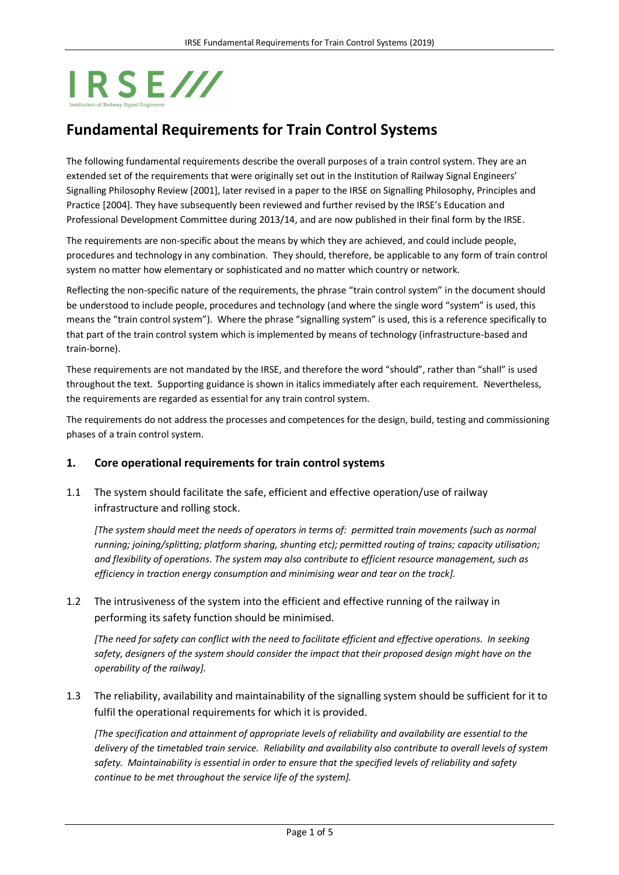# IRSE///

## **Fundamental Requirements for Train Control Systems**

The following fundamental requirements describe the overall purposes of a train control system. They are an extended set of the requirements that were originally set out in the Institution of Railway Signal Engineers' Signalling Philosophy Review [2001], later revised in a paper to the IRSE on Signalling Philosophy, Principles and Practice [2004]. They have subsequently been reviewed and further revised by the IRSE's Education and Professional Development Committee during 2013/14, and are now published in their final form by the IRSE.

The requirements are non-specific about the means by which they are achieved, and could include people, procedures and technology in any combination. They should, therefore, be applicable to any form of train control system no matter how elementary or sophisticated and no matter which country or network.

Reflecting the non-specific nature of the requirements, the phrase "train control system" in the document should be understood to include people, procedures and technology (and where the single word "system" is used, this means the "train control system"). Where the phrase "signalling system" is used, this is a reference specifically to that part of the train control system which is implemented by means of technology (infrastructure-based and train-borne).

These requirements are not mandated by the IRSE, and therefore the word "should", rather than "shall" is used throughout the text. Supporting guidance is shown in italics immediately after each requirement. Nevertheless, the requirements are regarded as essential for any train control system.

The requirements do not address the processes and competences for the design, build, testing and commissioning phases of a train control system.

### **1. Core operational requirements for train control systems**

1.1 The system should facilitate the safe, efficient and effective operation/use of railway infrastructure and rolling stock.

*[The system should meet the needs of operators in terms of: permitted train movements (such as normal running; joining/splitting; platform sharing, shunting etc); permitted routing of trains; capacity utilisation; and flexibility of operations. The system may also contribute to efficient resource management, such as efficiency in traction energy consumption and minimising wear and tear on the track].*

1.2 The intrusiveness of the system into the efficient and effective running of the railway in performing its safety function should be minimised.

*[The need for safety can conflict with the need to facilitate efficient and effective operations. In seeking safety, designers of the system should consider the impact that their proposed design might have on the operability of the railway].*

1.3 The reliability, availability and maintainability of the signalling system should be sufficient for it to fulfil the operational requirements for which it is provided.

*[The specification and attainment of appropriate levels of reliability and availability are essential to the delivery of the timetabled train service. Reliability and availability also contribute to overall levels of system safety. Maintainability is essential in order to ensure that the specified levels of reliability and safety continue to be met throughout the service life of the system].*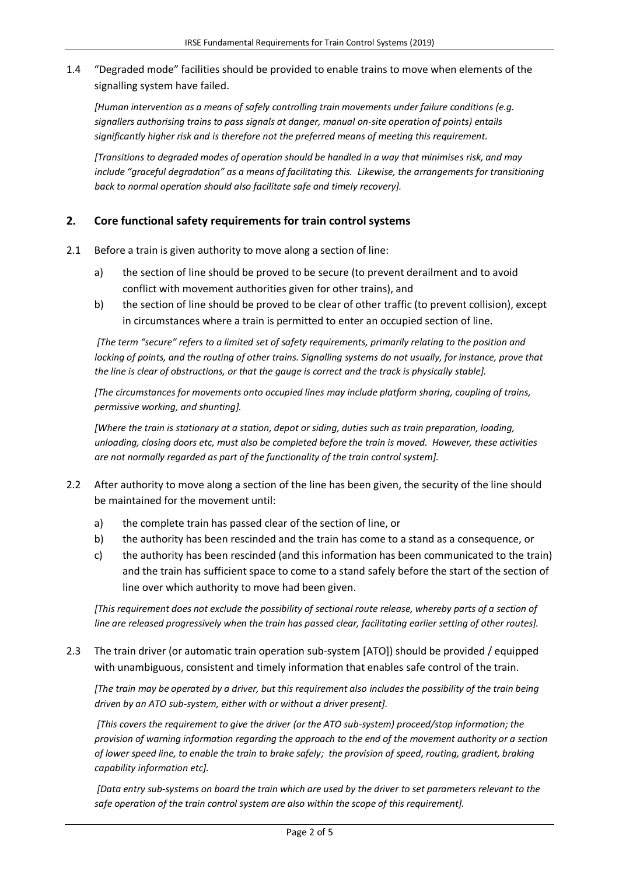1.4 "Degraded mode" facilities should be provided to enable trains to move when elements of the signalling system have failed.

*[Human intervention as a means of safely controlling train movements under failure conditions (e.g. signallers authorising trains to pass signals at danger, manual on-site operation of points) entails significantly higher risk and is therefore not the preferred means of meeting this requirement.* 

*[Transitions to degraded modes of operation should be handled in a way that minimises risk, and may include "graceful degradation" as a means of facilitating this. Likewise, the arrangements for transitioning back to normal operation should also facilitate safe and timely recovery].*

### **2. Core functional safety requirements for train control systems**

- 2.1 Before a train is given authority to move along a section of line:
	- a) the section of line should be proved to be secure (to prevent derailment and to avoid conflict with movement authorities given for other trains), and
	- b) the section of line should be proved to be clear of other traffic (to prevent collision), except in circumstances where a train is permitted to enter an occupied section of line.

*[The term "secure" refers to a limited set of safety requirements, primarily relating to the position and locking of points, and the routing of other trains. Signalling systems do not usually, for instance, prove that the line is clear of obstructions, or that the gauge is correct and the track is physically stable].*

*[The circumstances for movements onto occupied lines may include platform sharing, coupling of trains, permissive working, and shunting].*

*[Where the train is stationary at a station, depot or siding, duties such as train preparation, loading, unloading, closing doors etc, must also be completed before the train is moved. However, these activities are not normally regarded as part of the functionality of the train control system].*

- 2.2 After authority to move along a section of the line has been given, the security of the line should be maintained for the movement until:
	- a) the complete train has passed clear of the section of line, or
	- b) the authority has been rescinded and the train has come to a stand as a consequence, or
	- c) the authority has been rescinded (and this information has been communicated to the train) and the train has sufficient space to come to a stand safely before the start of the section of line over which authority to move had been given.

*[This requirement does not exclude the possibility of sectional route release, whereby parts of a section of line are released progressively when the train has passed clear, facilitating earlier setting of other routes].*

2.3 The train driver (or automatic train operation sub-system [ATO]) should be provided / equipped with unambiguous, consistent and timely information that enables safe control of the train.

*[The train may be operated by a driver, but this requirement also includes the possibility of the train being driven by an ATO sub-system, either with or without a driver present].*

*[This covers the requirement to give the driver (or the ATO sub-system) proceed/stop information; the provision of warning information regarding the approach to the end of the movement authority or a section of lower speed line, to enable the train to brake safely; the provision of speed, routing, gradient, braking capability information etc].*

*[Data entry sub-systems on board the train which are used by the driver to set parameters relevant to the safe operation of the train control system are also within the scope of this requirement].*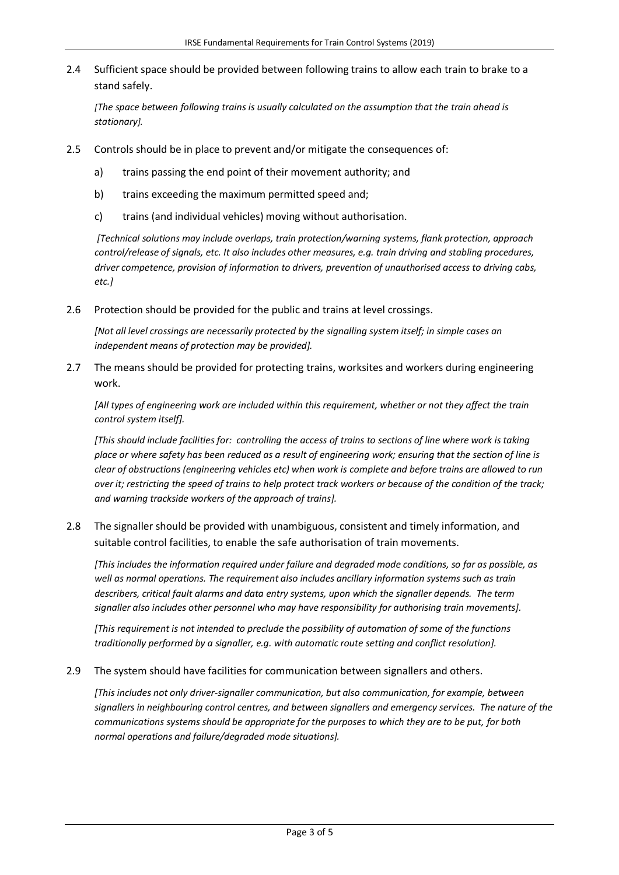2.4 Sufficient space should be provided between following trains to allow each train to brake to a stand safely.

*[The space between following trains is usually calculated on the assumption that the train ahead is stationary].*

- 2.5 Controls should be in place to prevent and/or mitigate the consequences of:
	- a) trains passing the end point of their movement authority; and
	- b) trains exceeding the maximum permitted speed and;
	- c) trains (and individual vehicles) moving without authorisation.

*[Technical solutions may include overlaps, train protection/warning systems, flank protection, approach control/release of signals, etc. It also includes other measures, e.g. train driving and stabling procedures, driver competence, provision of information to drivers, prevention of unauthorised access to driving cabs, etc.]*

2.6 Protection should be provided for the public and trains at level crossings.

*[Not all level crossings are necessarily protected by the signalling system itself; in simple cases an independent means of protection may be provided].*

2.7 The means should be provided for protecting trains, worksites and workers during engineering work.

*[All types of engineering work are included within this requirement, whether or not they affect the train control system itself].*

*[This should include facilities for: controlling the access of trains to sections of line where work is taking place or where safety has been reduced as a result of engineering work; ensuring that the section of line is clear of obstructions (engineering vehicles etc) when work is complete and before trains are allowed to run over it; restricting the speed of trains to help protect track workers or because of the condition of the track; and warning trackside workers of the approach of trains].*

2.8 The signaller should be provided with unambiguous, consistent and timely information, and suitable control facilities, to enable the safe authorisation of train movements.

*[This includes the information required under failure and degraded mode conditions, so far as possible, as well as normal operations. The requirement also includes ancillary information systems such as train describers, critical fault alarms and data entry systems, upon which the signaller depends. The term signaller also includes other personnel who may have responsibility for authorising train movements].*

*[This requirement is not intended to preclude the possibility of automation of some of the functions traditionally performed by a signaller, e.g. with automatic route setting and conflict resolution].*

2.9 The system should have facilities for communication between signallers and others.

*[This includes not only driver-signaller communication, but also communication, for example, between signallers in neighbouring control centres, and between signallers and emergency services. The nature of the communications systems should be appropriate for the purposes to which they are to be put, for both normal operations and failure/degraded mode situations].*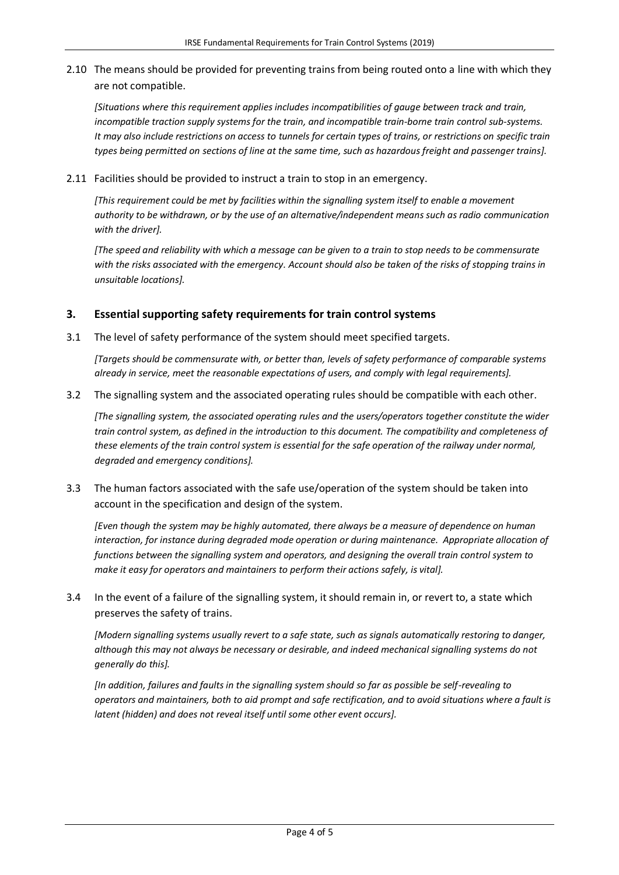2.10 The means should be provided for preventing trains from being routed onto a line with which they are not compatible.

*[Situations where this requirement applies includes incompatibilities of gauge between track and train, incompatible traction supply systems for the train, and incompatible train-borne train control sub-systems. It may also include restrictions on access to tunnels for certain types of trains, or restrictions on specific train types being permitted on sections of line at the same time, such as hazardous freight and passenger trains].*

2.11 Facilities should be provided to instruct a train to stop in an emergency.

*[This requirement could be met by facilities within the signalling system itself to enable a movement authority to be withdrawn, or by the use of an alternative/independent means such as radio communication with the driver].* 

*[The speed and reliability with which a message can be given to a train to stop needs to be commensurate with the risks associated with the emergency. Account should also be taken of the risks of stopping trains in unsuitable locations].*

#### **3. Essential supporting safety requirements for train control systems**

3.1 The level of safety performance of the system should meet specified targets.

*[Targets should be commensurate with, or better than, levels of safety performance of comparable systems already in service, meet the reasonable expectations of users, and comply with legal requirements].*

3.2 The signalling system and the associated operating rules should be compatible with each other.

*[The signalling system, the associated operating rules and the users/operators together constitute the wider train control system, as defined in the introduction to this document. The compatibility and completeness of these elements of the train control system is essential for the safe operation of the railway under normal, degraded and emergency conditions].*

3.3 The human factors associated with the safe use/operation of the system should be taken into account in the specification and design of the system.

*[Even though the system may be highly automated, there always be a measure of dependence on human interaction, for instance during degraded mode operation or during maintenance. Appropriate allocation of functions between the signalling system and operators, and designing the overall train control system to make it easy for operators and maintainers to perform their actions safely, is vital].*

3.4 In the event of a failure of the signalling system, it should remain in, or revert to, a state which preserves the safety of trains.

*[Modern signalling systems usually revert to a safe state, such as signals automatically restoring to danger, although this may not always be necessary or desirable, and indeed mechanical signalling systems do not generally do this].*

*[In addition, failures and faults in the signalling system should so far as possible be self-revealing to operators and maintainers, both to aid prompt and safe rectification, and to avoid situations where a fault is latent (hidden) and does not reveal itself until some other event occurs].*